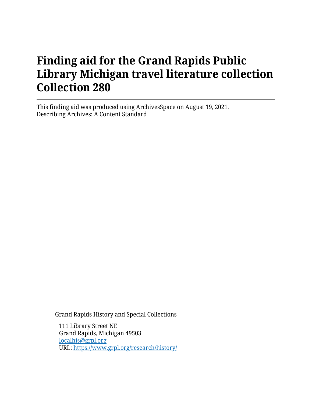# **Finding aid for the Grand Rapids Public Library Michigan travel literature collection Collection 280**

This finding aid was produced using ArchivesSpace on August 19, 2021. Describing Archives: A Content Standard

Grand Rapids History and Special Collections

111 Library Street NE Grand Rapids, Michigan 49503 [localhis@grpl.org](mailto:localhis@grpl.org) URL:<https://www.grpl.org/research/history/>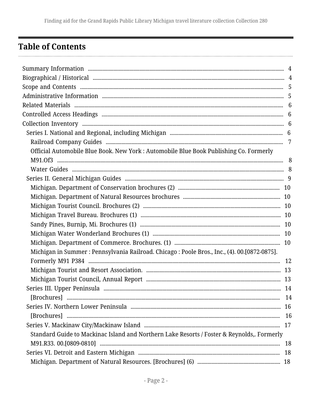## <span id="page-1-0"></span>**Table of Contents**

| Official Automobile Blue Book. New York : Automobile Blue Book Publishing Co. Formerly        |    |
|-----------------------------------------------------------------------------------------------|----|
|                                                                                               |    |
|                                                                                               |    |
|                                                                                               |    |
|                                                                                               |    |
|                                                                                               |    |
|                                                                                               |    |
|                                                                                               |    |
|                                                                                               |    |
|                                                                                               |    |
|                                                                                               |    |
| Michigan in Summer : Pennsylvania Railroad. Chicago : Poole Bros., Inc., (4). 00.[0872-0875]. |    |
|                                                                                               |    |
|                                                                                               |    |
|                                                                                               |    |
|                                                                                               |    |
|                                                                                               |    |
|                                                                                               |    |
|                                                                                               |    |
|                                                                                               |    |
| Standard Guide to Mackinac Island and Northern Lake Resorts / Foster & Reynolds,. Formerly    |    |
|                                                                                               | 18 |
|                                                                                               |    |
|                                                                                               |    |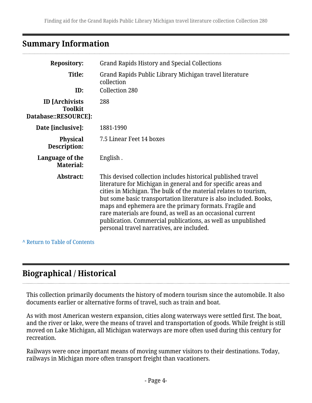### <span id="page-3-0"></span>**Summary Information**

| <b>Repository:</b>                                               | <b>Grand Rapids History and Special Collections</b>                                                                                                                                                                                                                                                                                                                                                                                                                                                         |  |
|------------------------------------------------------------------|-------------------------------------------------------------------------------------------------------------------------------------------------------------------------------------------------------------------------------------------------------------------------------------------------------------------------------------------------------------------------------------------------------------------------------------------------------------------------------------------------------------|--|
| Title:<br>ID:                                                    | Grand Rapids Public Library Michigan travel literature<br>collection<br>Collection 280                                                                                                                                                                                                                                                                                                                                                                                                                      |  |
| <b>ID</b> [Archivists]<br><b>Toolkit</b><br>Database::RESOURCE]: | 288                                                                                                                                                                                                                                                                                                                                                                                                                                                                                                         |  |
| Date [inclusive]:                                                | 1881-1990                                                                                                                                                                                                                                                                                                                                                                                                                                                                                                   |  |
| <b>Physical</b><br>Description:                                  | 7.5 Linear Feet 14 boxes                                                                                                                                                                                                                                                                                                                                                                                                                                                                                    |  |
| Language of the<br><b>Material:</b>                              | English.                                                                                                                                                                                                                                                                                                                                                                                                                                                                                                    |  |
| <b>Abstract:</b>                                                 | This devised collection includes historical published travel<br>literature for Michigan in general and for specific areas and<br>cities in Michigan. The bulk of the material relates to tourism,<br>but some basic transportation literature is also included. Books,<br>maps and ephemera are the primary formats. Fragile and<br>rare materials are found, as well as an occasional current<br>publication. Commercial publications, as well as unpublished<br>personal travel narratives, are included. |  |

**^** [Return to Table of Contents](#page-1-0)

## <span id="page-3-1"></span>**Biographical / Historical**

This collection primarily documents the history of modern tourism since the automobile. It also documents earlier or alternative forms of travel, such as train and boat.

As with most American western expansion, cities along waterways were settled first. The boat, and the river or lake, were the means of travel and transportation of goods. While freight is still moved on Lake Michigan, all Michigan waterways are more often used during this century for recreation.

Railways were once important means of moving summer visitors to their destinations. Today, railways in Michigan more often transport freight than vacationers.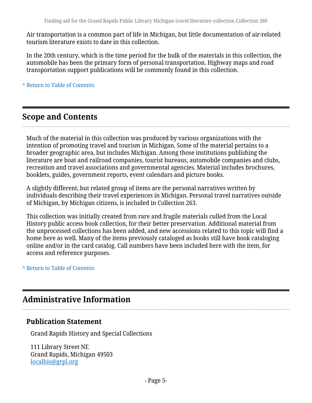Air transportation is a common part of life in Michigan, but little documentation of air-related tourism literature exists to date in this collection.

In the 20th century, which is the time period for the bulk of the materials in this collection, the automobile has been the primary form of personal transportation. Highway maps and road transportation support publications will be commonly found in this collection.

**^** [Return to Table of Contents](#page-1-0)

## <span id="page-4-0"></span>**Scope and Contents**

Much of the material in this collection was produced by various organizations with the intention of promoting travel and tourism in Michigan. Some of the material pertains to a broader geographic area, but includes Michigan. Among those institutions publishing the literature are boat and railroad companies, tourist bureaus, automobile companies and clubs, recreation and travel associations and governmental agencies. Material includes brochures, booklets, guides, government reports, event calendars and picture books.

A slightly different, but related group of items are the personal narratives written by individuals describing their travel experiences in Michigan. Personal travel narratives outside of Michigan, by Michigan citizens, is included in Collection 263.

This collection was initially created from rare and fragile materials culled from the Local History public access book collection, for their better preservation. Additional material from the unprocessed collections has been added, and new accessions related to this topic will find a home here as well. Many of the items previously cataloged as books still have book cataloging online and/or in the card catalog. Call numbers have been included here with the item, for access and reference purposes.

#### **^** [Return to Table of Contents](#page-1-0)

## <span id="page-4-1"></span>**Administrative Information**

#### **Publication Statement**

Grand Rapids History and Special Collections

111 Library Street NE Grand Rapids, Michigan 49503 [localhis@grpl.org](mailto:localhis@grpl.org)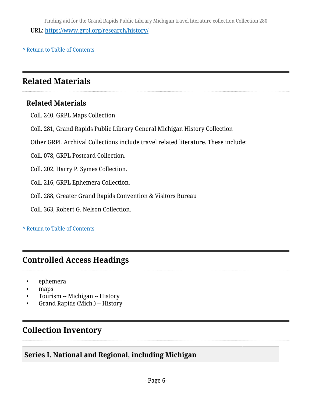Finding aid for the Grand Rapids Public Library Michigan travel literature collection Collection 280 URL:<https://www.grpl.org/research/history/>

**^** [Return to Table of Contents](#page-1-0)

## <span id="page-5-0"></span>**Related Materials**

#### **Related Materials**

Coll. 240, GRPL Maps Collection

Coll. 281, Grand Rapids Public Library General Michigan History Collection

Other GRPL Archival Collections include travel related literature. These include:

Coll. 078, GRPL Postcard Collection.

Coll. 202, Harry P. Symes Collection.

Coll. 216, GRPL Ephemera Collection.

Coll. 288, Greater Grand Rapids Convention & Visitors Bureau

Coll. 363, Robert G. Nelson Collection.

#### **^** [Return to Table of Contents](#page-1-0)

### <span id="page-5-1"></span>**Controlled Access Headings**

- ephemera
- maps
- Tourism -- Michigan -- History
- Grand Rapids (Mich.) -- History

## <span id="page-5-2"></span>**Collection Inventory**

#### <span id="page-5-3"></span>**Series I. National and Regional, including Michigan**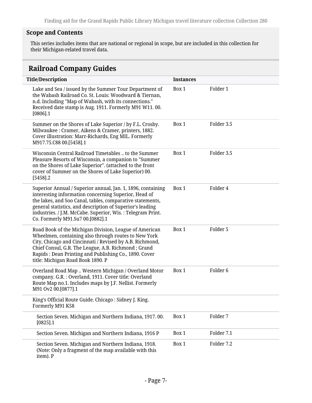#### **Scope and Contents**

This series includes items that are national or regional in scope, but are included in this collection for their Michigan-related travel data.

### <span id="page-6-0"></span>**Railroad Company Guides**

| <b>Title/Description</b>                                                                                                                                                                                                                                                                                                                        | <b>Instances</b> |                     |
|-------------------------------------------------------------------------------------------------------------------------------------------------------------------------------------------------------------------------------------------------------------------------------------------------------------------------------------------------|------------------|---------------------|
| Lake and Sea / issued by the Summer Tour Department of<br>the Wabash Railroad Co. St. Louis: Woodward & Tiernan,<br>n.d. Including "Map of Wabash, with its connections."<br>Received date stamp is Aug. 1911. Formerly M91 W11.00.<br>$[0806]$ .1                                                                                              | Box 1            | Folder 1            |
| Summer on the Shores of Lake Superior / by F.L. Crosby.<br>Milwaukee: Cramer, Aikens & Cramer, printers, 1882.<br>Cover illustration: Marr-Richards, Eng MIL. Formerly<br>M917.75.C88 00.[5458].1                                                                                                                                               | Box 1            | Folder 3.5          |
| Wisconsin Central Railroad Timetables  to the Summer<br>Pleasure Resorts of Wisconsin, a companion to "Summer<br>on the Shores of Lake Superior". (attached to the front<br>cover of Summer on the Shores of Lake Superior) 00.<br>$[5458]$ .2                                                                                                  | Box 1            | Folder 3.5          |
| Superior Annual / Superior annual, Jan. 1, 1896, containing<br>interesting information concerning Superior, Head of<br>the lakes, and Soo Canal, tables, comparative statements,<br>general statistics, and description of Superior's leading<br>industries. / J.M. McCabe. Superior, Wis.: Telegram Print.<br>Co. Formerly M91.Su7 00.[0882].1 | Box 1            | Folder 4            |
| Road Book of the Michigan Division, League of American<br>Wheelmen, containing also through routes to New York<br>City, Chicago and Cincinnati / Revised by A.B. Richmond,<br>Chief Consul, G.R. The League, A.B. Richmond; Grand<br>Rapids: Dean Printing and Publishing Co., 1890. Cover<br>title: Michigan Road Book 1890. P                 | Box 1            | Folder 5            |
| Overland Road Map  Western Michigan / Overland Motor<br>company. G.R.: Overland, 1911. Cover title: Overland<br>Route Map no.1. Includes maps by J.F. Nellist. Formerly<br>M91 Ov2 00.[0877].1                                                                                                                                                  | Box 1            | Folder <sub>6</sub> |
| King's Official Route Guide. Chicago : Sidney J. King.<br>Formerly M91 K58                                                                                                                                                                                                                                                                      |                  |                     |
| Section Seven. Michigan and Northern Indiana, 1917.00.<br>$[0825]$ .1                                                                                                                                                                                                                                                                           | Box 1            | Folder 7            |
| Section Seven. Michigan and Northern Indiana, 1916 P                                                                                                                                                                                                                                                                                            | Box 1            | Folder 7.1          |
| Section Seven. Michigan and Northern Indiana, 1918.<br>(Note: Only a fragment of the map available with this<br>item). P                                                                                                                                                                                                                        | Box 1            | Folder 7.2          |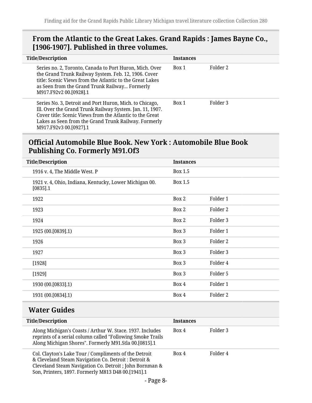#### **From the Atlantic to the Great Lakes. Grand Rapids : James Bayne Co., [1906-1907]. Published in three volumes.**

| <b>Title/Description</b>                                                                                                                                                                                                                                          | <b>Instances</b> |          |
|-------------------------------------------------------------------------------------------------------------------------------------------------------------------------------------------------------------------------------------------------------------------|------------------|----------|
| Series no. 2, Toronto, Canada to Port Huron, Mich. Over<br>the Grand Trunk Railway System. Feb. 12, 1906. Cover<br>title: Scenic Views from the Atlantic to the Great Lakes<br>as Seen from the Grand Trunk Railway Formerly<br>M917.F92v2 00.[0928].1            | Rox 1            | Folder 2 |
| Series No. 3, Detroit and Port Huron, Mich. to Chicago,<br>Ill. Over the Grand Trunk Railway System. Jan. 11, 1907.<br>Cover title: Scenic Views from the Atlantic to the Great<br>Lakes as Seen from the Grand Trunk Railway. Formerly<br>M917.F92v3 00.[0927].1 | Box 1            | Folder 3 |

#### <span id="page-7-0"></span>**Official Automobile Blue Book. New York : Automobile Blue Book Publishing Co. Formerly M91.Of3**

| <b>Title/Description</b>                                              | <b>Instances</b> |          |
|-----------------------------------------------------------------------|------------------|----------|
| 1916 v. 4, The Middle West. P                                         | Box 1.5          |          |
| 1921 v. 4, Ohio, Indiana, Kentucky, Lower Michigan 00.<br>$[0835]$ .1 | Box 1.5          |          |
| 1922                                                                  | Box 2            | Folder 1 |
| 1923                                                                  | Box 2            | Folder 2 |
| 1924                                                                  | Box 2            | Folder 3 |
| 1925 (00.[0839].1)                                                    | Box 3            | Folder 1 |
| 1926                                                                  | Box 3            | Folder 2 |
| 1927                                                                  | Box 3            | Folder 3 |
| [1928]                                                                | Box 3            | Folder 4 |
| [1929]                                                                | Box 3            | Folder 5 |
| 1930 (00.[0833].1)                                                    | Box 4            | Folder 1 |
| 1931 (00.[0834].1)                                                    | Box 4            | Folder 2 |
|                                                                       |                  |          |

### <span id="page-7-1"></span>**Water Guides**

| <b>Title/Description</b>                                                                                                                                                                                                       | <b>Instances</b> |          |
|--------------------------------------------------------------------------------------------------------------------------------------------------------------------------------------------------------------------------------|------------------|----------|
| Along Michigan's Coasts / Arthur W. Stace. 1937. Includes<br>reprints of a serial column called "Following Smoke Trails<br>Along Michigan Shores". Formerly M91.Stla 00.[0815].1                                               | Box 4            | Folder 3 |
| Col. Clayton's Lake Tour / Compliments of the Detroit<br>& Cleveland Steam Navigation Co. Detroit : Detroit &<br>Cleveland Steam Navigation Co. Detroit ; John Bornman &<br>Son, Printers, 1897. Formerly M813 D48 00.[1941].1 | Box 4            | Folder 4 |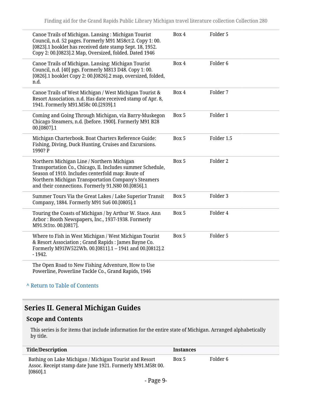| Canoe Trails of Michigan. Lansing: Michigan Tourist<br>Council, n.d. 52 pages. Formerly M91 M58ct:2. Copy 1:00.<br>[0823].1 booklet has received date stamp Sept. 18, 1952.<br>Copy 2: 00.[0823].2 Map, Oversized, folded. Dated 1946                                      | Box 4 | Folder 5            |
|----------------------------------------------------------------------------------------------------------------------------------------------------------------------------------------------------------------------------------------------------------------------------|-------|---------------------|
| Canoe Trails of Michigan. Lansing: Michigan Tourist<br>Council, n.d. [40] pgs. Formerly M813 D48. Copy 1:00.<br>[0826].1 booklet Copy 2: 00.[0826].2 map, oversized, folded,<br>n.d.                                                                                       | Box 4 | Folder <sub>6</sub> |
| Canoe Trails of West Michigan / West Michigan Tourist &<br>Resort Association. n.d. Has date received stamp of Apr. 8,<br>1941. Formerly M91.M58c 00.[2939].1                                                                                                              | Box 4 | Folder 7            |
| Coming and Going Through Michigan, via Barry-Muskegon<br>Chicago Steamers, n.d. [before. 1900]. Formerly M91 B28<br>00.[0807].1                                                                                                                                            | Box 5 | Folder 1            |
| Michigan Charterbook. Boat Charters Reference Guide:<br>Fishing, Diving, Duck Hunting, Cruises and Excursions.<br>1990? P                                                                                                                                                  | Box 5 | Folder 1.5          |
| Northern Michigan Line / Northern Michigan<br>Transportation Co., Chicago, Il. Includes summer Schedule,<br>Season of 1910. Includes centerfold map: Route of<br>Northern Michigan Transportation Company's Steamers<br>and their connections. Formerly 91.N80 00.[0856].1 | Box 5 | Folder <sub>2</sub> |
| Summer Tours Via the Great Lakes / Lake Superior Transit<br>Company, 1884. Formerly M91 Su6 00.[0805].1                                                                                                                                                                    | Box 5 | Folder 3            |
| Touring the Coasts of Michigan / by Arthur W. Stace. Ann<br>Arbor: Booth Newspapers, Inc., 1937-1938. Formerly<br>M91.St1to. 00.[0817].                                                                                                                                    | Box 5 | Folder 4            |
| Where to Fish in West Michigan / West Michigan Tourist<br>& Resort Association ; Grand Rapids : James Bayne Co.<br>Formerly M91lW522Wh. 00.[0811].1 - 1941 and 00.[0812].2<br>$-1942.$                                                                                     | Box 5 | Folder 5            |
| The Open Road to New Fishing Adventure, How to Use<br>Powerline, Powerline Tackle Co., Grand Rapids, 1946                                                                                                                                                                  |       |                     |

### <span id="page-8-0"></span>**Series II. General Michigan Guides**

#### **Scope and Contents**

This series is for items that include information for the entire state of Michigan. Arranged alphabetically by title.

| <b>Title/Description</b>                                                                                                            | <b>Instances</b> |          |
|-------------------------------------------------------------------------------------------------------------------------------------|------------------|----------|
| Bathing on Lake Michigan / Michigan Tourist and Resort<br>Assoc. Receipt stamp date June 1921. Formerly M91.M58t 00.<br>$[0860]$ .1 | Box 5            | Folder 6 |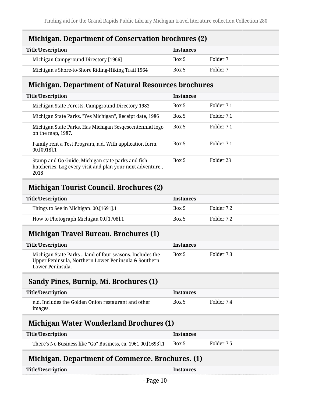#### <span id="page-9-0"></span>**Michigan. Department of Conservation brochures (2)**

| <b>Title/Description</b>                           | <b>Instances</b> |          |
|----------------------------------------------------|------------------|----------|
| Michigan Campground Directory [1966]               | Box 5            | Folder 7 |
| Michigan's Shore-to-Shore Riding-Hiking Trail 1964 | Box 5            | Folder 7 |

#### <span id="page-9-1"></span>**Michigan. Department of Natural Resources brochures**

| <b>Title/Description</b>                                                                                                | <b>Instances</b> |            |
|-------------------------------------------------------------------------------------------------------------------------|------------------|------------|
| Michigan State Forests, Campground Directory 1983                                                                       | Box 5            | Folder 7.1 |
| Michigan State Parks. "Yes Michigan", Receipt date, 1986                                                                | Box 5            | Folder 7.1 |
| Michigan State Parks. Has Michigan Sesqescentennial logo<br>on the map, 1987.                                           | Box 5            | Folder 7.1 |
| Family rent a Test Program, n.d. With application form.<br>00.[0918].1                                                  | Box 5            | Folder 7.1 |
| Stamp and Go Guide, Michigan state parks and fish<br>hatcheries; Log every visit and plan your next adventure.,<br>2018 | Box 5            | Folder 23  |

#### <span id="page-9-2"></span>**Michigan Tourist Council. Brochures (2)**

| <b>Title/Description</b>               | <b>Instances</b> |            |
|----------------------------------------|------------------|------------|
| Things to See in Michigan. 00.[1691].1 | Box 5            | Folder 7.2 |
| How to Photograph Michigan 00.[1708].1 | Box 5            | Folder 7.2 |

### <span id="page-9-3"></span>**Michigan Travel Bureau. Brochures (1)**

| <b>Title/Description</b>                                                                                                             | <b>Instances</b> |            |
|--------------------------------------------------------------------------------------------------------------------------------------|------------------|------------|
| Michigan State Parks  land of four seasons. Includes the<br>Upper Peninsula, Northern Lower Peninsula & Southern<br>Lower Peninsula. | Box 5            | Folder 7.3 |

#### <span id="page-9-4"></span>**Sandy Pines, Burnip, Mi. Brochures (1)**

| <b>Title/Description</b>                                       | <b>Instances</b> |            |
|----------------------------------------------------------------|------------------|------------|
| n.d. Includes the Golden Onion restaurant and other<br>images. | Box 5            | Folder 7.4 |

#### <span id="page-9-5"></span>**Michigan Water Wonderland Brochures (1)**

| <b>Title/Description</b>                                     | <b>Instances</b> |            |
|--------------------------------------------------------------|------------------|------------|
| There's No Business like "Go" Business, ca. 1961 00.[1693].1 | Box 5            | Folder 7.5 |

### <span id="page-9-6"></span>**Michigan. Department of Commerce. Brochures. (1)**

| <b>Title/Description</b> |
|--------------------------|
|--------------------------|

**Instances**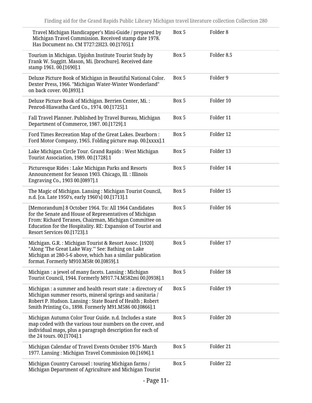| Travel Michigan Handicapper's Mini-Guide / prepared by<br>Michigan Travel Commission. Received stamp date 1978.<br>Has Document no. CM T727:2H23. 00.[1705].1                                                                                                           | Box 5 | Folder <sub>8</sub> |
|-------------------------------------------------------------------------------------------------------------------------------------------------------------------------------------------------------------------------------------------------------------------------|-------|---------------------|
| Tourism in Michigan. Upjohn Institute Tourist Study by<br>Frank W. Suggitt. Mason, Mi. [brochure]. Received date<br>stamp 1961. 00.[1690].1                                                                                                                             | Box 5 | Folder 8.5          |
| Deluxe Picture Book of Michigan in Beautiful National Color.<br>Dexter Press, 1966. "Michigan Water-Winter Wonderland"<br>on back cover. 00.[893].1                                                                                                                     | Box 5 | Folder 9            |
| Deluxe Picture Book of Michigan. Berrien Center, Mi.:<br>Penrod-Hiawatha Card Co., 1974. 00.[1725].1                                                                                                                                                                    | Box 5 | Folder 10           |
| Fall Travel Planner. Published by Travel Bureau, Michigan<br>Department of Commerce, 1987. 00.[1729].1                                                                                                                                                                  | Box 5 | Folder 11           |
| Ford Times Recreation Map of the Great Lakes. Dearborn :<br>Ford Motor Company, 1965. Folding picture map. 00.[xxxx].1                                                                                                                                                  | Box 5 | Folder 12           |
| Lake Michigan Circle Tour. Grand Rapids : West Michigan<br>Tourist Association, 1989. 00.[1728].1                                                                                                                                                                       | Box 5 | Folder 13           |
| Picturesque Rides: Lake Michigan Parks and Resorts<br>Announcement for Season 1903. Chicago, Ill. : Illinois<br>Engraving Co., 1903 00.[0897].1                                                                                                                         | Box 5 | Folder 14           |
| The Magic of Michigan. Lansing: Michigan Tourist Council,<br>n.d. [ca. Late 1950's, early 1960's] 00.[1713].1                                                                                                                                                           | Box 5 | Folder 15           |
| [Memorandum] 8 October 1964. To: All 1964 Candidates<br>for the Senate and House of Representatives of Michigan<br>From: Richard Teranes, Chairman, Michigan Committee on<br>Education for the Hospitality. RE: Expansion of Tourist and<br>Resort Services 00.[1723].1 | Box 5 | Folder 16           |
| Michigan. G.R.: Michigan Tourist & Resort Assoc. [1920]<br>"Along 'The Great Lake Way.'" See: Bathing on Lake<br>Michigan at 280-5-6 above, which has a similar publication<br>format. Formerly M910.M58t 00.[0859].1                                                   | Box 5 | Folder 17           |
| Michigan : a jewel of many facets. Lansing : Michigan<br>Tourist Council, 1944. Formerly M917.74.M582mi 00.[0938].1                                                                                                                                                     | Box 5 | Folder 18           |
| Michigan : a summer and health resort state : a directory of<br>Michigan summer resorts, mineral springs and sanitaria /<br>Robert P. Hudson. Lansing: State Board of Health; Robert<br>Smith Printing Co., 1898. Formerly M91.M586 00.[0866].1                         | Box 5 | Folder 19           |
| Michigan Autumn Color Tour Guide. n.d. Includes a state<br>map coded with the various tour numbers on the cover, and<br>individual maps, plus a paragraph description for each of<br>the 24 tours. 00.[1704].1                                                          | Box 5 | Folder 20           |
| Michigan Calendar of Travel Events October 1976- March<br>1977. Lansing: Michigan Travel Commission 00.[1696].1                                                                                                                                                         | Box 5 | Folder 21           |
| Michigan Country Carousel : touring Michigan farms /<br>Michigan Department of Agriculture and Michigan Tourist                                                                                                                                                         | Box 5 | Folder 22           |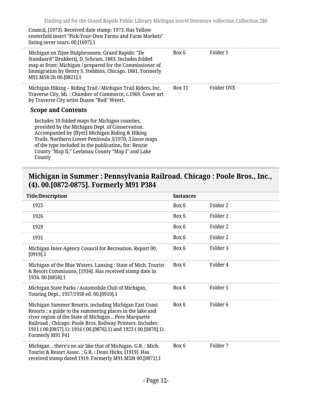Council, [1973]. Received date stamp: 1973. Has Yellow centerfold insert "Pick-Your-Own Farms and Farm Markets" listing sever tours. 00.[1697].1

| Michigan en Zijne Hulpbronnen. Grand Rapids: "De<br>Standaard" Drukkerij, D. Schram, 1883. Includes folded<br>map at front: Michigan / prepared for the Commissioner of<br>Immigration by Henry S. Stebbins, Chicago. 1881. Formerly<br>M91.M58:2h 00.[0821].1                                                                       | Box 6         | Folder 1   |
|--------------------------------------------------------------------------------------------------------------------------------------------------------------------------------------------------------------------------------------------------------------------------------------------------------------------------------------|---------------|------------|
| Michigan Hiking – Riding Trail / Michigan Trail Riders, Inc.<br>Traverse City, Mi.: Chamber of Commerce, c.1969. Cover art<br>by Traverse City artist Duane "Bud" Weert.<br><b>Scope and Contents</b>                                                                                                                                | <b>Box 11</b> | Folder OVE |
| Includes 10 folded maps for Michigan counties,<br>provided by the Michigan Dept. of Conservation.<br>Accompanied by [flyer] Michigan Riding & Hiking<br>Trails. Northern Lower Peninsula 3/1970; 3 loose maps<br>of the type included in the publication, for: Benzie<br>County "Map II," Leelanau County "Map I" and Lake<br>County |               |            |

#### <span id="page-11-0"></span>**Michigan in Summer : Pennsylvania Railroad. Chicago : Poole Bros., Inc., (4). 00.[0872-0875]. Formerly M91 P384**

| <b>Title/Description</b>                                                                                                                                                                                                                                                                                                         | <b>Instances</b> |                     |
|----------------------------------------------------------------------------------------------------------------------------------------------------------------------------------------------------------------------------------------------------------------------------------------------------------------------------------|------------------|---------------------|
| 1925                                                                                                                                                                                                                                                                                                                             | Box 6            | Folder 2            |
| 1926                                                                                                                                                                                                                                                                                                                             | Box 6            | Folder 2            |
| 1929                                                                                                                                                                                                                                                                                                                             | Box 6            | Folder 2            |
| 1931                                                                                                                                                                                                                                                                                                                             | Box 6            | Folder 2            |
| Michigan Inter-Agency Council for Recreation. Report 00.<br>$[0919]$ .1                                                                                                                                                                                                                                                          | Box 6            | Folder 3            |
| Michigan of the Blue Waters. Lansing: State of Mich. Tourist<br>& Resort Commission, [1934]. Has received stamp date in<br>1934.00.[0858].1                                                                                                                                                                                      | Box 6            | Folder 4            |
| Michigan State Parks / Automobile Club of Michigan,<br>Touring Dept., 1957/1958 ed. 00.[0910].1                                                                                                                                                                                                                                  | Box 6            | Folder 5            |
| Michigan Summer Resorts, including Michigan East Coast<br>Resorts : a guide to the summering places in the lake and<br>river region of the State of Michigan  Pere Marquette<br>Railroad; Chicago: Poole Bros, Railway Printers. Includes:<br>1911 (00.[0857].1); 1916 (00.[0876].1) and 1923 (00.[0870].1).<br>Formerly M91 P41 | Box 6            | Folder <sub>6</sub> |
| Michigan  there's no air like that of Michigan. G.R. : Mich.<br>Tourist & Resort Assoc.; G.R.: Dean Hicks, [1919]. Has<br>received stamp dated 1919. Formerly M91.M58t 00.[0871].1                                                                                                                                               | Box 6            | Folder 7            |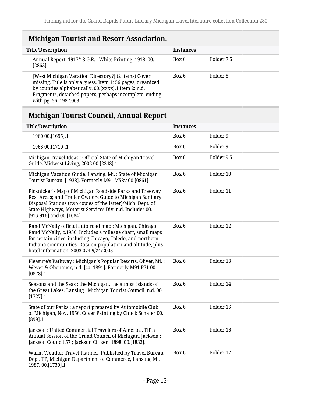## <span id="page-12-0"></span>**Michigan Tourist and Resort Association.**

| <b>Title/Description</b> |                                                                                                                                                                                                                                                               | <b>Instances</b> |            |
|--------------------------|---------------------------------------------------------------------------------------------------------------------------------------------------------------------------------------------------------------------------------------------------------------|------------------|------------|
| $[2863]$ .1              | Annual Report. 1917/18 G.R. : White Printing, 1918. 00.                                                                                                                                                                                                       | Box 6            | Folder 7.5 |
|                          | [West Michigan Vacation Directory?] (2 items) Cover<br>missing. Title is only a guess. Item 1: 56 pages, organized<br>by counties alphabetically. 00.[xxxx].1 Item 2: n.d.<br>Fragments, detached papers, perhaps incomplete, ending<br>with pg. 56. 1987.063 | Box 6            | Folder 8   |

## <span id="page-12-1"></span>**Michigan Tourist Council, Annual Report**

| <b>Title/Description</b>                                                                                                                                                                                                                                                                      | <b>Instances</b> |            |
|-----------------------------------------------------------------------------------------------------------------------------------------------------------------------------------------------------------------------------------------------------------------------------------------------|------------------|------------|
| 1960 00.[1695].1                                                                                                                                                                                                                                                                              | Box 6            | Folder 9   |
| 1965 00.[1710].1                                                                                                                                                                                                                                                                              | Box 6            | Folder 9   |
| Michigan Travel Ideas: Official State of Michigan Travel<br>Guide. Midwest Living, 2002 00.[2248].1                                                                                                                                                                                           | Box 6            | Folder 9.5 |
| Michigan Vacation Guide. Lansing, Mi.: State of Michigan<br>Tourist Bureau, [1938]. Formerly M91.M58v 00.[0861].1                                                                                                                                                                             | Box 6            | Folder 10  |
| Picknicker's Map of Michigan Roadside Parks and Freeway<br>Rest Areas; and Trailer Owners Guide to Michigan Sanitary<br>Disposal Stations (two copies of the latter)/Mich. Dept. of<br>State Highways, Motorist Services Div. n.d. Includes 00.<br>$[915-916]$ and 00.[1684]                  | Box 6            | Folder 11  |
| Rand McNally official auto road map : Michigan. Chicago :<br>Rand McNally, c.1930. Includes a mileage chart, small maps<br>for certain cities, including Chicago, Toledo, and northern<br>Indiana communities. Data on population and altitude, plus<br>hotel information. 2003.074 9/24/2003 | Box 6            | Folder 12  |
| Pleasure's Pathway: Michigan's Popular Resorts. Olivet, Mi.:<br>Wever & Obenauer, n.d. [ca. 1891]. Formerly M91.P71 00.<br>$[0878]$ .1                                                                                                                                                        | Box 6            | Folder 13  |
| Seasons and the Seas: the Michigan, the almost islands of<br>the Great Lakes. Lansing: Michigan Tourist Council, n.d. 00.<br>$[1727]$ .1                                                                                                                                                      | Box 6            | Folder 14  |
| State of our Parks : a report prepared by Automobile Club<br>of Michigan, Nov. 1956. Cover Painting by Chuck Schafer 00.<br>[899] .1                                                                                                                                                          | Box 6            | Folder 15  |
| Jackson: United Commercial Travelers of America. Fifth<br>Annual Session of the Grand Council of Michigan. Jackson:<br>Jackson Council 57; Jackson Citizen, 1898. 00.[1833].                                                                                                                  | Box 6            | Folder 16  |
| Warm Weather Travel Planner. Published by Travel Bureau,<br>Dept. TP, Michigan Department of Commerce, Lansing, Mi.<br>1987.00.[1730].1                                                                                                                                                       | Box 6            | Folder 17  |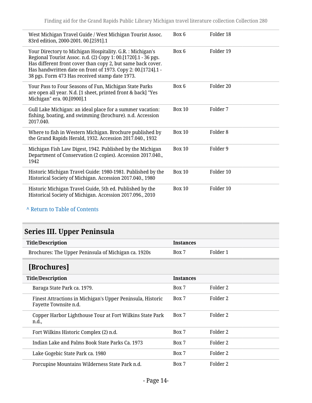| West Michigan Travel Guide / West Michigan Tourist Assoc.<br>83rd edition, 2000-2001. 00.[2591].1                                                                                                                                                                                                           | Box 6         | Folder 18            |
|-------------------------------------------------------------------------------------------------------------------------------------------------------------------------------------------------------------------------------------------------------------------------------------------------------------|---------------|----------------------|
| Your Directory to Michigan Hospitality. G.R.: Michigan's<br>Regional Tourist Assoc. n.d. (2) Copy 1: 00.[1720].1 - 36 pgs.<br>Has different front cover than copy 2, but same back cover.<br>Has handwritten date on front of 1973. Copy 2: 00.[1724].1 -<br>38 pgs. Form 473 Has received stamp date 1973. | Box 6         | Folder 19            |
| Your Pass to Four Seasons of Fun, Michigan State Parks<br>are open all year. N.d. [1 sheet, printed front & back] "Yes<br>Michigan" era. 00.[0900].1                                                                                                                                                        | Box 6         | Folder <sub>20</sub> |
| Gull Lake Michigan: an ideal place for a summer vacation:<br>fishing, boating, and swimming (brochure). n.d. Accession<br>2017.040.                                                                                                                                                                         | Box 10        | Folder 7             |
| Where to fish in Western Michigan. Brochure published by<br>the Grand Rapids Herald, 1932. Accession 2017.040., 1932                                                                                                                                                                                        | <b>Box 10</b> | Folder <sub>8</sub>  |
| Michigan Fish Law Digest, 1942. Published by the Michigan<br>Department of Conservation (2 copies). Accession 2017.040.,<br>1942                                                                                                                                                                            | Box 10        | Folder 9             |
| Historic Michigan Travel Guide: 1980-1981. Published by the<br>Historical Society of Michigan. Accession 2017.040., 1980                                                                                                                                                                                    | Box 10        | Folder 10            |
| Historic Michigan Travel Guide, 5th ed. Published by the<br>Historical Society of Michigan. Accession 2017.096., 2010                                                                                                                                                                                       | <b>Box 10</b> | Folder 10            |

## <span id="page-13-0"></span>**Series III. Upper Peninsula**

<span id="page-13-1"></span>

| <b>Title/Description</b>                                                            | <b>Instances</b> |                     |
|-------------------------------------------------------------------------------------|------------------|---------------------|
| Brochures: The Upper Peninsula of Michigan ca. 1920s                                | Box 7            | Folder 1            |
| [Brochures]                                                                         |                  |                     |
| <b>Title/Description</b>                                                            | <b>Instances</b> |                     |
| Baraga State Park ca. 1979.                                                         | Box 7            | Folder 2            |
| Finest Attractions in Michigan's Upper Peninsula, Historic<br>Fayette Townsite n.d. | Box 7            | Folder 2            |
| Copper Harbor Lighthouse Tour at Fort Wilkins State Park<br>n.d.,                   | Box 7            | Folder 2            |
| Fort Wilkins Historic Complex (2) n.d.                                              | Box 7            | Folder 2            |
| Indian Lake and Palms Book State Parks Ca. 1973                                     | Box 7            | Folder 2            |
| Lake Gogebic State Park ca. 1980                                                    | Box 7            | Folder 2            |
| Porcupine Mountains Wilderness State Park n.d.                                      | Box 7            | Folder <sub>2</sub> |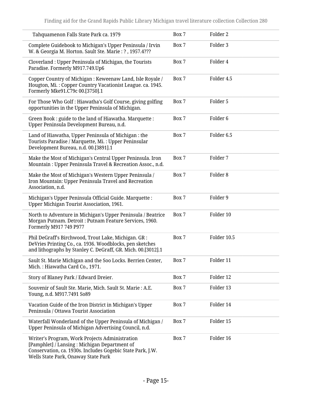| Tahquamenon Falls State Park ca. 1979                                                                                                                                                                | Box 7 | Folder 2            |
|------------------------------------------------------------------------------------------------------------------------------------------------------------------------------------------------------|-------|---------------------|
| Complete Guidebook to Michigan's Upper Peninsula / Irvin<br>W. & Georgia M. Horton. Sault Ste. Marie: ?, 1957.4???                                                                                   | Box 7 | Folder 3            |
| Cloverland: Upper Peninsula of Michigan, the Tourists<br>Paradise. Formerly M917.749.Up6                                                                                                             | Box 7 | Folder 4            |
| Copper Country of Michigan: Keweenaw Land, Isle Royale /<br>Hougton, Mi.: Copper Country Vacationist League. ca. 1945.<br>Formerly Mke91.C79c 00.[3750].1                                            | Box 7 | Folder 4.5          |
| For Those Who Golf : Hiawatha's Golf Course, giving golfing<br>opportunities in the Upper Peninsula of Michigan.                                                                                     | Box 7 | Folder 5            |
| Green Book : guide to the land of Hiawatha. Marquette :<br>Upper Peninsula Development Bureau, n.d.                                                                                                  | Box 7 | Folder <sub>6</sub> |
| Land of Hiawatha, Upper Peninsula of Michigan : the<br>Tourists Paradise / Marquette, Mi.: Upper Peninsular<br>Development Bureau, n.d. 00.[3891].1                                                  | Box 7 | Folder 6.5          |
| Make the Most of Michigan's Central Upper Peninsula. Iron<br>Mountain: Upper Peninsula Travel & Recreation Assoc., n.d.                                                                              | Box 7 | Folder 7            |
| Make the Most of Michigan's Western Upper Peninsula /<br>Iron Mountain: Upper Peninsula Travel and Recreation<br>Association, n.d.                                                                   | Box 7 | Folder <sub>8</sub> |
| Michigan's Upper Peninsula Official Guide. Marquette :<br>Upper Michigan Tourist Association, 1961.                                                                                                  | Box 7 | Folder 9            |
| North to Adventure in Michigan's Upper Peninsula / Beatrice<br>Morgan Putnam. Detroit : Putnam Feature Services, 1960.<br>Formerly M917 749 P977                                                     | Box 7 | Folder 10           |
| Phil DeGraff's Birchwood, Trout Lake, Michigan. GR :<br>DeVries Printing Co., ca. 1936. Woodblocks, pen sketches<br>and lithographs by Stanley C. DeGraff, GR. Mich. 00.[3012].1                     | Box 7 | Folder 10.5         |
| Sault St. Marie Michigan and the Soo Locks. Berrien Center,<br>Mich.: Hiawatha Card Co., 1971.                                                                                                       | Box 7 | Folder 11           |
| Story of Blaney Park / Edward Dreier.                                                                                                                                                                | Box 7 | Folder 12           |
| Souvenir of Sault Ste. Marie, Mich. Sault St. Marie : A.E.<br>Young, n.d. M917.7491 So89                                                                                                             | Box 7 | Folder 13           |
| Vacation Guide of the Iron District in Michigan's Upper<br>Peninsula / Ottawa Tourist Association                                                                                                    | Box 7 | Folder 14           |
| Waterfall Wonderland of the Upper Peninsula of Michigan /<br>Upper Peninsula of Michigan Advertising Council, n.d.                                                                                   | Box 7 | Folder 15           |
| Writer's Program, Work Projects Administration<br>[Pamphlet] / Lansing : Michigan Department of<br>Conservation, ca. 1930s. Includes Gogebic State Park, J.W.<br>Wells State Park, Onaway State Park | Box 7 | Folder 16           |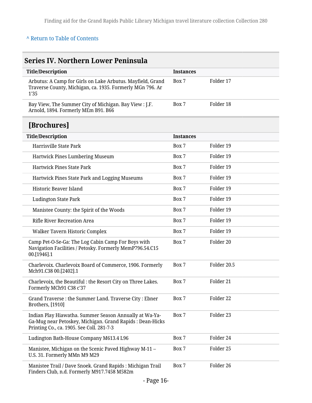<span id="page-15-1"></span><span id="page-15-0"></span>

| <b>Series IV. Northern Lower Peninsula</b>                                                                                                                      |                  |             |  |  |
|-----------------------------------------------------------------------------------------------------------------------------------------------------------------|------------------|-------------|--|--|
| <b>Title/Description</b>                                                                                                                                        | <b>Instances</b> |             |  |  |
| Arbutus: A Camp for Girls on Lake Arbutus. Mayfield, Grand<br>Traverse County, Michigan, ca. 1935. Formerly MGn 796. Ar<br>1'35                                 | Box 7            | Folder 17   |  |  |
| Bay View, The Summer City of Michigan. Bay View : J.F.<br>Arnold, 1894. Formerly MEm B91. B66                                                                   | Box 7            | Folder 18   |  |  |
| [Brochures]                                                                                                                                                     |                  |             |  |  |
| <b>Title/Description</b>                                                                                                                                        | <b>Instances</b> |             |  |  |
| Harrisville State Park                                                                                                                                          | Box 7            | Folder 19   |  |  |
| Hartwick Pines Lumbering Museum                                                                                                                                 | Box 7            | Folder 19   |  |  |
| <b>Hartwick Pines State Park</b>                                                                                                                                | Box 7            | Folder 19   |  |  |
| Hartwick Pines State Park and Logging Museums                                                                                                                   | Box 7            | Folder 19   |  |  |
| Historic Beaver Island                                                                                                                                          | Box 7            | Folder 19   |  |  |
| <b>Ludington State Park</b>                                                                                                                                     | Box 7            | Folder 19   |  |  |
| Manistee County: the Spirit of the Woods                                                                                                                        | Box 7            | Folder 19   |  |  |
| <b>Rifle River Recreation Area</b>                                                                                                                              | Box 7            | Folder 19   |  |  |
| Walker Tavern Historic Complex                                                                                                                                  | Box 7            | Folder 19   |  |  |
| Camp Pet-O-Se-Ga: The Log Cabin Camp For Boys with<br>Navigation Facilities / Petosky. Formerly MemP796.54.C15<br>00.[1946].1                                   | Box 7            | Folder 20   |  |  |
| Charlevoix. Charlevoix Board of Commerce, 1906. Formerly<br>Mch91.C38 00.[2402].1                                                                               | Box 7            | Folder 20.5 |  |  |
| Charlevoix, the Beautiful: the Resort City on Three Lakes.<br>Formerly MCh91 C38 c'37                                                                           | Box 7            | Folder 21   |  |  |
| Grand Traverse: the Summer Land. Traverse City: Ebner<br>Brothers, [1910]                                                                                       | Box 7            | Folder 22   |  |  |
| Indian Play Hiawatha. Summer Season Annually at Wa-Ya-<br>Ga-Mug near Petoskey, Michigan. Grand Rapids: Dean-Hicks<br>Printing Co., ca. 1905. See Coll. 281-7-3 | Box 7            | Folder 23   |  |  |
| Ludington Bath-House Company M613.4 L96                                                                                                                         | Box 7            | Folder 24   |  |  |
| Manistee, Michigan on the Scenic Paved Highway M-11 -<br>U.S. 31. Formerly MMn M9 M29                                                                           | Box 7            | Folder 25   |  |  |
| Manistee Trail / Dave Snoek. Grand Rapids : Michigan Trail<br>Finders Club, n.d. Formerly M917.7458 M582m                                                       | Box 7            | Folder 26   |  |  |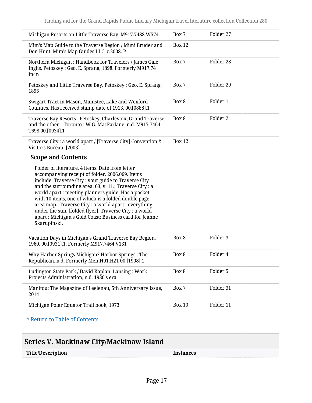| Michigan Resorts on Little Traverse Bay. M917.7488 W574                                                                                                                                                                                                                                                                                                                                                                                                                                                                          | Box 7         | Folder 27 |
|----------------------------------------------------------------------------------------------------------------------------------------------------------------------------------------------------------------------------------------------------------------------------------------------------------------------------------------------------------------------------------------------------------------------------------------------------------------------------------------------------------------------------------|---------------|-----------|
| Mim's Map Guide to the Traverse Region / Mimi Bruder and<br>Don Hunt. Mim's Map Guides LLC, c.2008. P                                                                                                                                                                                                                                                                                                                                                                                                                            | <b>Box 12</b> |           |
| Northern Michigan: Handbook for Travelers / James Gale<br>Inglis. Petoskey: Geo. E. Sprang, 1898. Formerly M917.74<br>In4n                                                                                                                                                                                                                                                                                                                                                                                                       | Box 7         | Folder 28 |
| Petoskey and Little Traverse Bay. Petoskey: Geo. E. Sprang,<br>1895                                                                                                                                                                                                                                                                                                                                                                                                                                                              | Box 7         | Folder 29 |
| Swigart Tract in Mason, Manistee, Lake and Wexford<br>Counties. Has received stamp date of 1913. 00.[0888].1                                                                                                                                                                                                                                                                                                                                                                                                                     | Box 8         | Folder 1  |
| Traverse Bay Resorts: Petoskey, Charlevoix, Grand Traverse<br>and the other  Toronto: W.G. MacFarlane, n.d. M917.7464<br>T698 00.[0934].1                                                                                                                                                                                                                                                                                                                                                                                        | Box 8         | Folder 2  |
| Traverse City : a world apart / [Traverse City] Convention &<br>Visitors Bureau, [2003]                                                                                                                                                                                                                                                                                                                                                                                                                                          | <b>Box 12</b> |           |
| <b>Scope and Contents</b>                                                                                                                                                                                                                                                                                                                                                                                                                                                                                                        |               |           |
| Folder of literature, 4 items. Date from letter<br>accompanying receipt of folder. 2006.069. Items<br>include: Traverse City : your guide to Traverse City<br>and the surrounding area, 03, v. 11.; Traverse City : a<br>world apart : meeting planners guide. Has a pocket<br>with 10 items, one of which is a folded double page<br>area map.; Traverse City : a world apart : everything<br>under the sun. [folded flyer]; Traverse City : a world<br>apart : Michigan's Gold Coast; Business card for Jeanne<br>Skarupinski. |               |           |
| Vacation Days in Michigan's Grand Traverse Bay Region,<br>1960. 00.[0931].1. Formerly M917.7464 V131                                                                                                                                                                                                                                                                                                                                                                                                                             | Box 8         | Folder 3  |
| Why Harbor Springs Michigan? Harbor Springs : The<br>Republican, n.d. Formerly MemH91.H21 00.[1908].1                                                                                                                                                                                                                                                                                                                                                                                                                            | Box 8         | Folder 4  |
| Ludington State Park / David Kaplan. Lansing: Work<br>Projects Administration, n.d. 1930's era.                                                                                                                                                                                                                                                                                                                                                                                                                                  | Box 8         | Folder 5  |
| Manitou: The Magazine of Leelenau, 5th Anniversary Issue,<br>2014                                                                                                                                                                                                                                                                                                                                                                                                                                                                | Box 7         | Folder 31 |
| Michigan Polar Equator Trail book, 1973                                                                                                                                                                                                                                                                                                                                                                                                                                                                                          | <b>Box 10</b> | Folder 11 |
| A Return to Table of Contents                                                                                                                                                                                                                                                                                                                                                                                                                                                                                                    |               |           |

## <span id="page-16-0"></span>**Series V. Mackinaw City/Mackinaw Island**

| <b>Title/Description</b> | Instances |
|--------------------------|-----------|
|                          |           |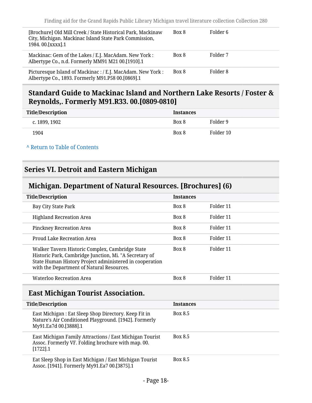| [Brochure] Old Mill Creek / State Historical Park, Mackinaw<br>City, Michigan. Mackinac Island State Park Commission,<br>1984.00.[XXXX].1 | Box 8 | Folder 6 |
|-------------------------------------------------------------------------------------------------------------------------------------------|-------|----------|
| Mackinac: Gem of the Lakes / E.J. MacAdam. New York :<br>Albertype Co., n.d. Formerly MM91 M21 00.[1910].1                                | Box 8 | Folder 7 |
| Picturesque Island of Mackinac : / E.J. MacAdam. New York :<br>Albertype Co., 1893. Formerly M91.P58 00.[0869].1                          | Box 8 | Folder 8 |

#### <span id="page-17-0"></span>**Standard Guide to Mackinac Island and Northern Lake Resorts / Foster & Reynolds,. Formerly M91.R33. 00.[0809-0810]**

| Title/Description | Instances |           |
|-------------------|-----------|-----------|
| c. 1899, 1902     | Box 8     | Folder 9  |
| 1904              | Box 8     | Folder 10 |

#### **^** [Return to Table of Contents](#page-1-0)

#### <span id="page-17-1"></span>**Series VI. Detroit and Eastern Michigan**

### <span id="page-17-2"></span>**Michigan. Department of Natural Resources. [Brochures] (6)**

| <b>Title/Description</b>                                                                                                                                                                                          | <b>Instances</b> |           |
|-------------------------------------------------------------------------------------------------------------------------------------------------------------------------------------------------------------------|------------------|-----------|
| Bay City State Park                                                                                                                                                                                               | Box 8            | Folder 11 |
| <b>Highland Recreation Area</b>                                                                                                                                                                                   | Box 8            | Folder 11 |
| Pinckney Recreation Area                                                                                                                                                                                          | Box 8            | Folder 11 |
| Proud Lake Recreation Area                                                                                                                                                                                        | Box 8            | Folder 11 |
| Walker Tavern Historic Complex, Cambridge State<br>Historic Park, Cambridge Junction, Mi. "A Secretary of<br>State Human History Project administered in cooperation<br>with the Department of Natural Resources. | Box 8            | Folder 11 |
| <b>Waterloo Recreation Area</b>                                                                                                                                                                                   | Box 8            | Folder 11 |

### <span id="page-17-3"></span>**East Michigan Tourist Association.**

| <b>Title/Description</b>                                                                                                                | <b>Instances</b> |
|-----------------------------------------------------------------------------------------------------------------------------------------|------------------|
| East Michigan : Eat Sleep Shop Directory. Keep Fit in<br>Nature's Air Conditioned Playground. [1942]. Formerly<br>My91.Ea7d 00.[3888].1 | <b>Box 8.5</b>   |
| East Michigan Family Attractions / East Michigan Tourist<br>Assoc. Formerly VF. Folding brochure with map. 00.<br>$[1722]$ .1           | <b>Box 8.5</b>   |
| Eat Sleep Shop in East Michigan / East Michigan Tourist<br>Assoc. [1941]. Formerly My91.Ea7 00.[3875].1                                 | <b>Box 8.5</b>   |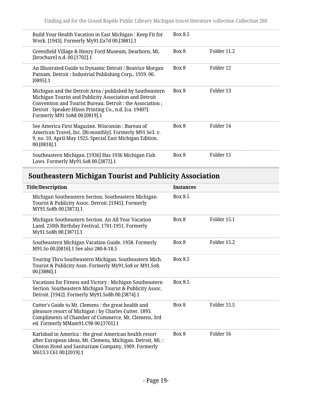| Build Your Health Vacation in East Michigan : Keep Fit for<br>Work. [1943]. Formerly My91.Ea7d 00.[3881].1                                                                                                                                                                   | Box 8.5 |             |
|------------------------------------------------------------------------------------------------------------------------------------------------------------------------------------------------------------------------------------------------------------------------------|---------|-------------|
| Greenfield Village & Henry Ford Museum, Dearborn, Mi.<br>[brochure] n.d. 00.[1702].1                                                                                                                                                                                         | Box 8   | Folder 11.2 |
| An Illustrated Guide to Dynamic Detroit / Beatrice Morgan<br>Putnam. Detroit: Industrial Publishing Corp., 1959.00.<br>$[0895]$ .1                                                                                                                                           | Box 8   | Folder 12   |
| Michigan and the Detroit Area / published by Southeastern<br>Michigan Tourist and Publicity Association and Detroit<br>Convention and Tourist Bureau. Detroit : the Association ;<br>Detroit: Speaker-Hines Printing Co., n.d. [ca. 1940?].<br>Formerly M91 So8d 00.[0819].1 | Box 8   | Folder 13   |
| See America First Magazine. Wisconsin: Bureau of<br>American Travel, Inc. [Bi-monthly]. Formerly M91 Se3. v.<br>9, no. 10, April-May 1925. Special East Michigan Edition.<br>00.[0818].1                                                                                     | Box 8   | Folder 14   |
| Southeastern Michigan. [1936] Has 1936 Michigan Fish<br>Laws. Formerly My91.So8 00.[3872].1                                                                                                                                                                                  | Box 8   | Folder 15   |

## <span id="page-18-0"></span>**Southeastern Michigan Tourist and Publicity Association**

| <b>Title/Description</b>                                                                                                                                                                                      | <b>Instances</b> |             |
|---------------------------------------------------------------------------------------------------------------------------------------------------------------------------------------------------------------|------------------|-------------|
| Michigan Southeastern Section. Southeastern Michigan<br>Tourist & Publicity Assoc. Detroit. [1945]. Formerly<br>MY91.So8h 00.[3873].1                                                                         | Box 8.5          |             |
| Michigan Southeastern Section. An All Year Vacation<br>Land. 250th Birthday Festival, 1701-1951. Formerly<br>My91.So8h 00.[3871].1                                                                            | Box 8            | Folder 15.1 |
| Southeastern Michigan Vacation Guide. 1958. Formerly<br>M91.So 00.[0816].1 See also 280-8-18.5                                                                                                                | Box 8            | Folder 15.2 |
| Touring Thru Southeastern Michigan. Southeastern Mich.<br>Tourist & Publicity Assn. Formerly My91.So8 or M91.So8.<br>00.[3886].1                                                                              | Box 8.5          |             |
| Vacations for Fitness and Victory: Michigan Southeastern<br>Section. Southeastern Michigan Tourist & Publicity Assoc.<br>Detroit. [1942]. Formerly My91.So8h 00.[3874].1                                      | Box 8.5          |             |
| Cutter's Guide to Mt. Clemens : the great health and<br>pleasure resort of Michigan / by Charles Cutter. 1893.<br>Compliments of Chamber of Commerce, Mt. Clemens, 3rd<br>ed. Formerly MMam91.C98 00.[3701].1 | Box 8            | Folder 15.5 |
| Karlsbad in America : the great American health resort<br>after European ideas, Mt. Clemens, Michigan. Detroit, Mi.:<br>Clinton Hotel and Sanitarium Company, 1909. Formerly<br>M613.3 C61 00.[2019].1        | Box 8            | Folder 16   |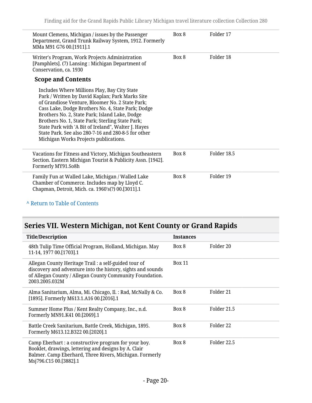| Mount Clemens, Michigan / issues by the Passenger<br>Department, Grand Trunk Railway System, 1912. Formerly<br>MMa M91 G76 00.[1911].1                                                                                                                                                                                                                                                                                                                                | Box 8 | Folder 17   |
|-----------------------------------------------------------------------------------------------------------------------------------------------------------------------------------------------------------------------------------------------------------------------------------------------------------------------------------------------------------------------------------------------------------------------------------------------------------------------|-------|-------------|
| Writer's Program, Work Projects Administration<br>[Pamphlets]. (7) Lansing: Michigan Department of<br>Conservation, ca. 1930                                                                                                                                                                                                                                                                                                                                          | Box 8 | Folder 18   |
| <b>Scope and Contents</b>                                                                                                                                                                                                                                                                                                                                                                                                                                             |       |             |
| Includes Where Millions Play, Bay City State<br>Park / Written by David Kaplan; Park Marks Site<br>of Grandiose Venture, Bloomer No. 2 State Park;<br>Cass Lake, Dodge Brothers No. 4, State Park; Dodge<br>Brothers No. 2, State Park; Island Lake, Dodge<br>Brothers No. 1, State Park; Sterling State Park;<br>State Park with 'A Bit of Ireland", Walter J. Hayes<br>State Park, See also 280-7-16 and 280-8-5 for other<br>Michigan Works Projects publications. |       |             |
| Vacations for Fitness and Victory, Michigan Southeastern<br>Section. Eastern Michigan Tourist & Publicity Assn. [1942].<br>Formerly MY91.So8h                                                                                                                                                                                                                                                                                                                         | Box 8 | Folder 18.5 |
| Family Fun at Walled Lake, Michigan / Walled Lake<br>Chamber of Commerce. Includes map by Lloyd C.<br>Chapman, Detroit, Mich. ca. 1960's(?) 00.[3011].1                                                                                                                                                                                                                                                                                                               | Box 8 | Folder 19   |

## <span id="page-19-0"></span>**Series VII. Western Michigan, not Kent County or Grand Rapids**

| <b>Title/Description</b>                                                                                                                                                                           | <b>Instances</b> |             |
|----------------------------------------------------------------------------------------------------------------------------------------------------------------------------------------------------|------------------|-------------|
| 48th Tulip Time Official Program, Holland, Michigan. May<br>11-14, 1977 00. [1703]. 1                                                                                                              | Box 8            | Folder 20   |
| Allegan County Heritage Trail : a self-guided tour of<br>discovery and adventure into the history, sights and sounds<br>of Allegan County / Allegan County Community Foundation.<br>2003.2005.032M | <b>Box 11</b>    |             |
| Alma Sanitarium, Alma, Mi. Chicago, Il. : Rad, McNally & Co.<br>[1895]. Formerly M613.1.A16 00.[2016].1                                                                                            | Box 8            | Folder 21   |
| Summer Home Plus / Kent Realty Company, Inc., n.d.<br>Formerly MN91.K41 00.[2069].1                                                                                                                | Box 8            | Folder 21.5 |
| Battle Creek Sanitarium, Battle Creek, Michigan, 1895.<br>Formerly M613.12.B322 00.[2020].1                                                                                                        | Box 8            | Folder 22   |
| Camp Eberhart : a constructive program for your boy.<br>Booklet, drawings, lettering and designs by A. Clair<br>Balmer. Camp Eberhard, Three Rivers, Michigan. Formerly<br>Msj796.C15 00.[3882].1  | Box 8            | Folder 22.5 |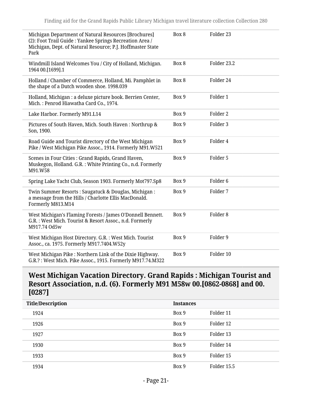| Michigan Department of Natural Resources [Brochures]<br>(2): Foot Trail Guide : Yankee Springs Recreation Area /<br>Michigan, Dept. of Natural Resource; P.J. Hoffmaster State<br>Park | Box 8 | Folder 23           |
|----------------------------------------------------------------------------------------------------------------------------------------------------------------------------------------|-------|---------------------|
| Windmill Island Welcomes You / City of Holland, Michigan.<br>1964 00.[1699].1                                                                                                          | Box 8 | Folder 23.2         |
| Holland / Chamber of Commerce, Holland, Mi. Pamphlet in<br>the shape of a Dutch wooden shoe. 1998.039                                                                                  | Box 8 | Folder 24           |
| Holland, Michigan : a deluxe picture book. Berrien Center,<br>Mich.: Penrod Hiawatha Card Co., 1974.                                                                                   | Box 9 | Folder 1            |
| Lake Harbor. Formerly M91.L14                                                                                                                                                          | Box 9 | Folder <sub>2</sub> |
| Pictures of South Haven, Mich. South Haven: Northrup &<br>Son, 1900.                                                                                                                   | Box 9 | Folder 3            |
| Road Guide and Tourist directory of the West Michigan<br>Pike / West Michigan Pike Assoc., 1914. Formerly M91.W521                                                                     | Box 9 | Folder 4            |
| Scenes in Four Cities : Grand Rapids, Grand Haven,<br>Muskegon, Holland. G.R.: White Printing Co., n.d. Formerly<br>M91.W58                                                            | Box 9 | Folder 5            |
| Spring Lake Yacht Club, Season 1903. Formerly Mot797.Sp8                                                                                                                               | Box 9 | Folder <sub>6</sub> |
| Twin Summer Resorts: Saugatuck & Douglas, Michigan:<br>a message from the Hills / Charlotte Ellis MacDonald.<br>Formerly M813.M14                                                      | Box 9 | Folder 7            |
| West Michigan's Flaming Forests / James O'Donnell Bennett.<br>G.R.: West Mich. Tourist & Resort Assoc., n.d. Formerly<br>M917.74 Od5w                                                  | Box 9 | Folder <sub>8</sub> |
| West Michigan Host Directory. G.R.: West Mich. Tourist<br>Assoc., ca. 1975. Formerly M917.7404.W52y                                                                                    | Box 9 | Folder 9            |
| West Michigan Pike : Northern Link of the Dixie Highway.<br>G.R.?: West Mich. Pike Assoc., 1915. Formerly M917.74.M322                                                                 | Box 9 | Folder 10           |

#### <span id="page-20-0"></span>**West Michigan Vacation Directory. Grand Rapids : Michigan Tourist and Resort Association, n.d. (6). Formerly M91 M58w 00.[0862-0868] and 00. [0287]**

| <b>Title/Description</b> | <b>Instances</b> |             |  |
|--------------------------|------------------|-------------|--|
| 1924                     | Box 9            | Folder 11   |  |
| 1926                     | Box 9            | Folder 12   |  |
| 1927                     | Box 9            | Folder 13   |  |
| 1930                     | Box 9            | Folder 14   |  |
| 1933                     | Box 9            | Folder 15   |  |
| 1934                     | Box 9            | Folder 15.5 |  |